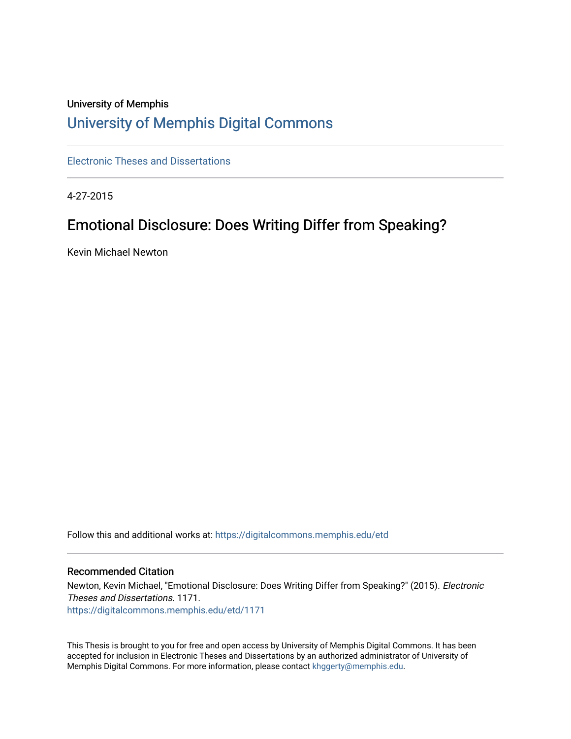## University of Memphis [University of Memphis Digital Commons](https://digitalcommons.memphis.edu/)

[Electronic Theses and Dissertations](https://digitalcommons.memphis.edu/etd)

4-27-2015

## Emotional Disclosure: Does Writing Differ from Speaking?

Kevin Michael Newton

Follow this and additional works at: [https://digitalcommons.memphis.edu/etd](https://digitalcommons.memphis.edu/etd?utm_source=digitalcommons.memphis.edu%2Fetd%2F1171&utm_medium=PDF&utm_campaign=PDFCoverPages) 

## Recommended Citation

Newton, Kevin Michael, "Emotional Disclosure: Does Writing Differ from Speaking?" (2015). Electronic Theses and Dissertations. 1171. [https://digitalcommons.memphis.edu/etd/1171](https://digitalcommons.memphis.edu/etd/1171?utm_source=digitalcommons.memphis.edu%2Fetd%2F1171&utm_medium=PDF&utm_campaign=PDFCoverPages) 

This Thesis is brought to you for free and open access by University of Memphis Digital Commons. It has been accepted for inclusion in Electronic Theses and Dissertations by an authorized administrator of University of Memphis Digital Commons. For more information, please contact [khggerty@memphis.edu.](mailto:khggerty@memphis.edu)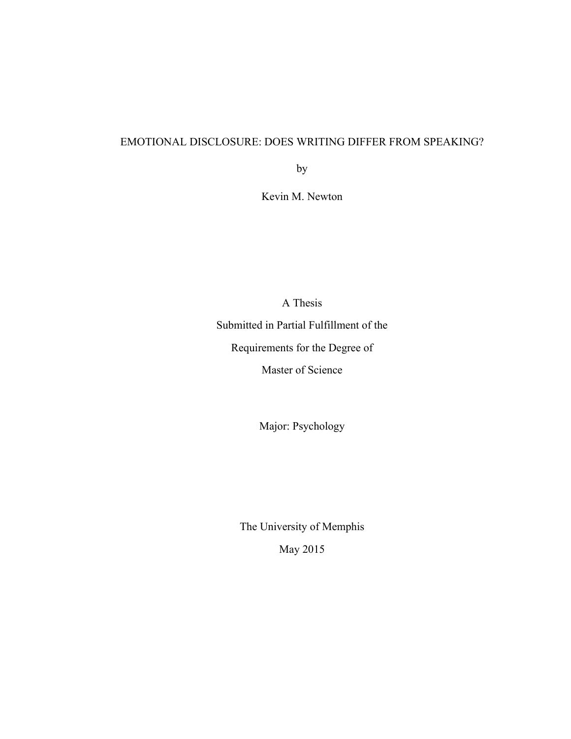## EMOTIONAL DISCLOSURE: DOES WRITING DIFFER FROM SPEAKING?

by

Kevin M. Newton

A Thesis Submitted in Partial Fulfillment of the Requirements for the Degree of Master of Science

Major: Psychology

The University of Memphis May 2015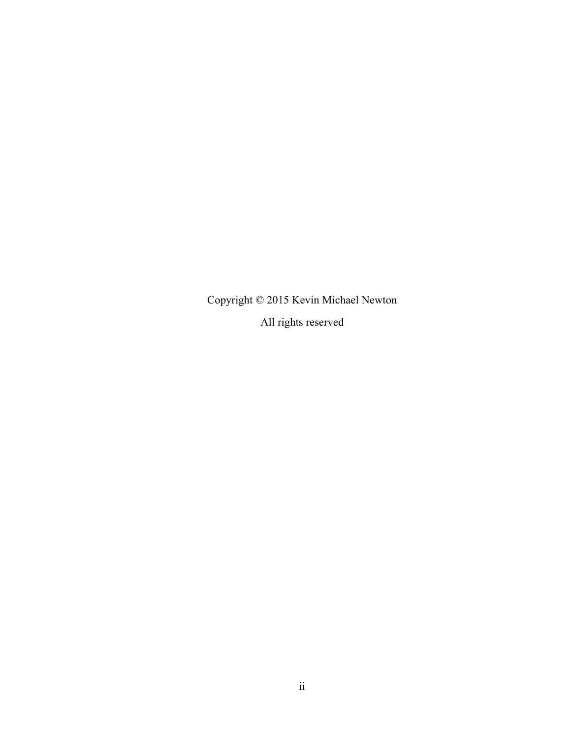Copyright © 2015 Kevin Michael Newton

All rights reserved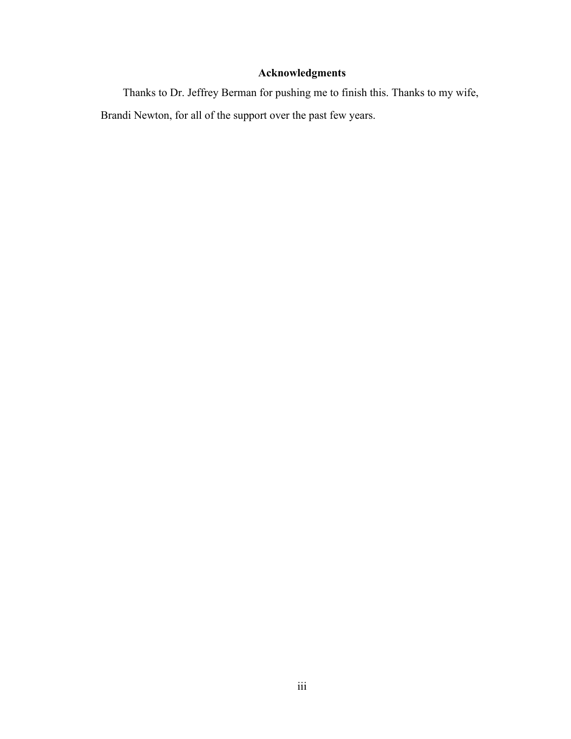## **Acknowledgments**

Thanks to Dr. Jeffrey Berman for pushing me to finish this. Thanks to my wife, Brandi Newton, for all of the support over the past few years.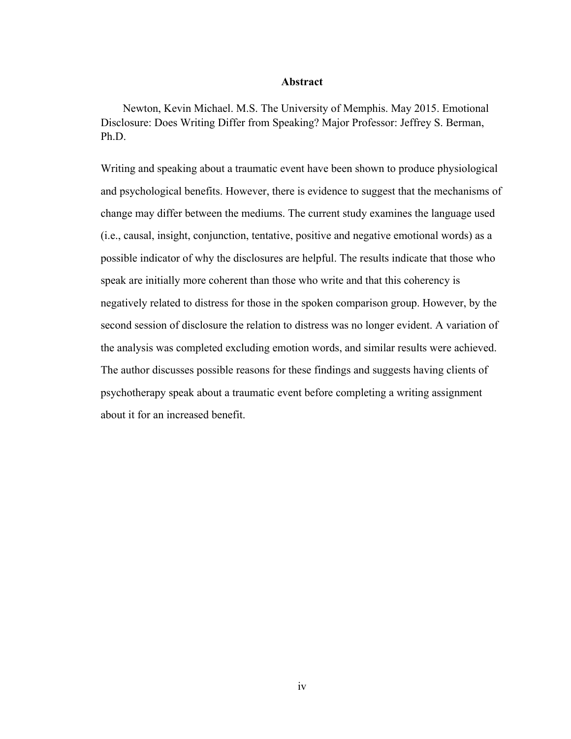## **Abstract**

Newton, Kevin Michael. M.S. The University of Memphis. May 2015. Emotional Disclosure: Does Writing Differ from Speaking? Major Professor: Jeffrey S. Berman, Ph.D.

Writing and speaking about a traumatic event have been shown to produce physiological and psychological benefits. However, there is evidence to suggest that the mechanisms of change may differ between the mediums. The current study examines the language used (i.e., causal, insight, conjunction, tentative, positive and negative emotional words) as a possible indicator of why the disclosures are helpful. The results indicate that those who speak are initially more coherent than those who write and that this coherency is negatively related to distress for those in the spoken comparison group. However, by the second session of disclosure the relation to distress was no longer evident. A variation of the analysis was completed excluding emotion words, and similar results were achieved. The author discusses possible reasons for these findings and suggests having clients of psychotherapy speak about a traumatic event before completing a writing assignment about it for an increased benefit.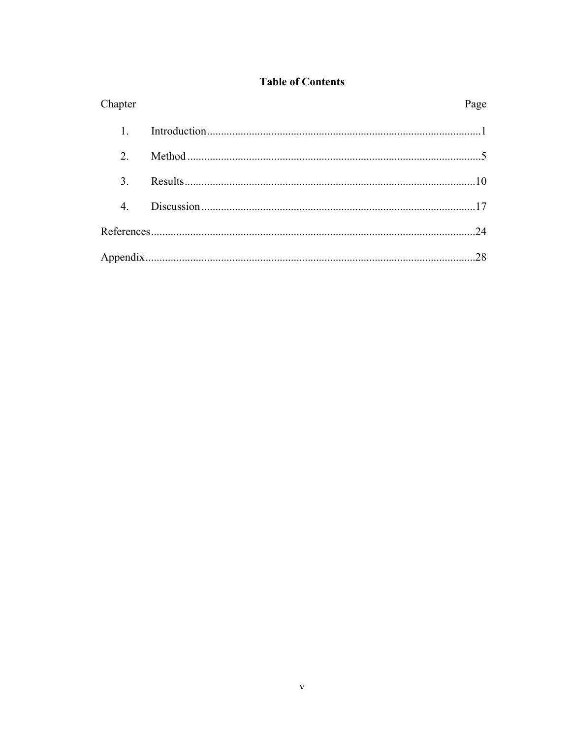|  | <b>Table of Contents</b> |  |
|--|--------------------------|--|
|  |                          |  |

| Chapter                     | Page |
|-----------------------------|------|
|                             |      |
| $\mathcal{D}_{\mathcal{L}}$ |      |
| $\mathcal{E}$               |      |
| $\overline{4}$ .            |      |
|                             | 24   |
|                             | 28   |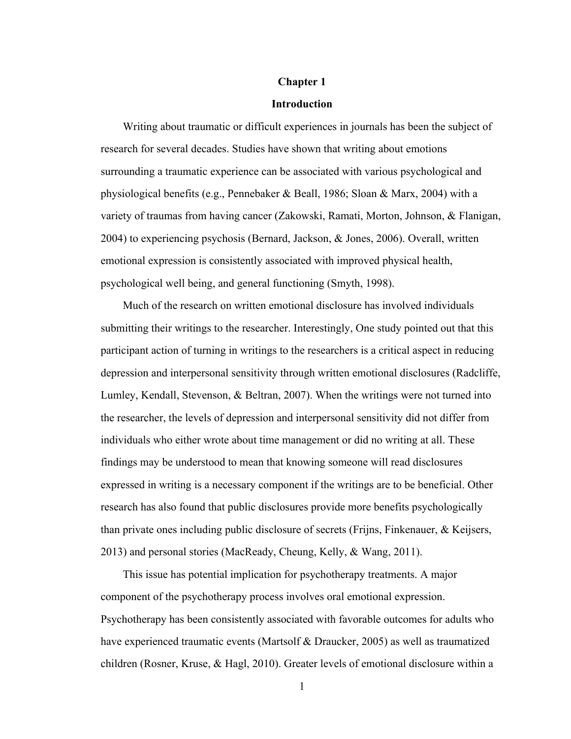### **Chapter 1**

#### **Introduction**

Writing about traumatic or difficult experiences in journals has been the subject of research for several decades. Studies have shown that writing about emotions surrounding a traumatic experience can be associated with various psychological and physiological benefits (e.g., Pennebaker & Beall, 1986; Sloan & Marx, 2004) with a variety of traumas from having cancer (Zakowski, Ramati, Morton, Johnson, & Flanigan, 2004) to experiencing psychosis (Bernard, Jackson, & Jones, 2006). Overall, written emotional expression is consistently associated with improved physical health, psychological well being, and general functioning (Smyth, 1998).

Much of the research on written emotional disclosure has involved individuals submitting their writings to the researcher. Interestingly, One study pointed out that this participant action of turning in writings to the researchers is a critical aspect in reducing depression and interpersonal sensitivity through written emotional disclosures (Radcliffe, Lumley, Kendall, Stevenson, & Beltran, 2007). When the writings were not turned into the researcher, the levels of depression and interpersonal sensitivity did not differ from individuals who either wrote about time management or did no writing at all. These findings may be understood to mean that knowing someone will read disclosures expressed in writing is a necessary component if the writings are to be beneficial. Other research has also found that public disclosures provide more benefits psychologically than private ones including public disclosure of secrets (Frijns, Finkenauer, & Keijsers, 2013) and personal stories (MacReady, Cheung, Kelly, & Wang, 2011).

This issue has potential implication for psychotherapy treatments. A major component of the psychotherapy process involves oral emotional expression. Psychotherapy has been consistently associated with favorable outcomes for adults who have experienced traumatic events (Martsolf & Draucker, 2005) as well as traumatized children (Rosner, Kruse, & Hagl, 2010). Greater levels of emotional disclosure within a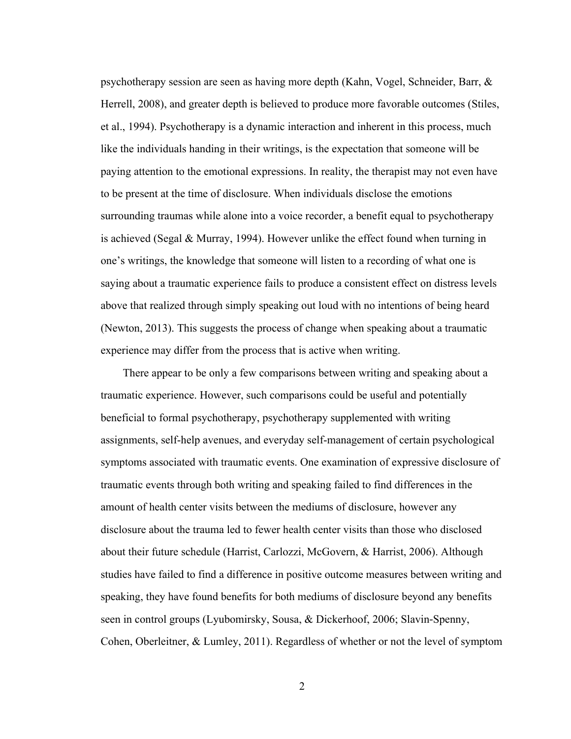psychotherapy session are seen as having more depth (Kahn, Vogel, Schneider, Barr, & Herrell, 2008), and greater depth is believed to produce more favorable outcomes (Stiles, et al., 1994). Psychotherapy is a dynamic interaction and inherent in this process, much like the individuals handing in their writings, is the expectation that someone will be paying attention to the emotional expressions. In reality, the therapist may not even have to be present at the time of disclosure. When individuals disclose the emotions surrounding traumas while alone into a voice recorder, a benefit equal to psychotherapy is achieved (Segal & Murray, 1994). However unlike the effect found when turning in one's writings, the knowledge that someone will listen to a recording of what one is saying about a traumatic experience fails to produce a consistent effect on distress levels above that realized through simply speaking out loud with no intentions of being heard (Newton, 2013). This suggests the process of change when speaking about a traumatic experience may differ from the process that is active when writing.

There appear to be only a few comparisons between writing and speaking about a traumatic experience. However, such comparisons could be useful and potentially beneficial to formal psychotherapy, psychotherapy supplemented with writing assignments, self-help avenues, and everyday self-management of certain psychological symptoms associated with traumatic events. One examination of expressive disclosure of traumatic events through both writing and speaking failed to find differences in the amount of health center visits between the mediums of disclosure, however any disclosure about the trauma led to fewer health center visits than those who disclosed about their future schedule (Harrist, Carlozzi, McGovern, & Harrist, 2006). Although studies have failed to find a difference in positive outcome measures between writing and speaking, they have found benefits for both mediums of disclosure beyond any benefits seen in control groups (Lyubomirsky, Sousa, & Dickerhoof, 2006; Slavin-Spenny, Cohen, Oberleitner, & Lumley, 2011). Regardless of whether or not the level of symptom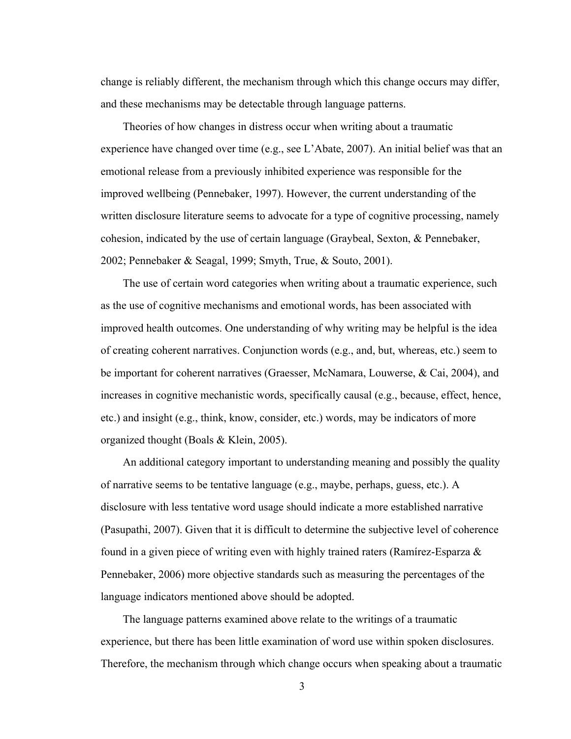change is reliably different, the mechanism through which this change occurs may differ, and these mechanisms may be detectable through language patterns.

Theories of how changes in distress occur when writing about a traumatic experience have changed over time (e.g., see L'Abate, 2007). An initial belief was that an emotional release from a previously inhibited experience was responsible for the improved wellbeing (Pennebaker, 1997). However, the current understanding of the written disclosure literature seems to advocate for a type of cognitive processing, namely cohesion, indicated by the use of certain language (Graybeal, Sexton, & Pennebaker, 2002; Pennebaker & Seagal, 1999; Smyth, True, & Souto, 2001).

The use of certain word categories when writing about a traumatic experience, such as the use of cognitive mechanisms and emotional words, has been associated with improved health outcomes. One understanding of why writing may be helpful is the idea of creating coherent narratives. Conjunction words (e.g., and, but, whereas, etc.) seem to be important for coherent narratives (Graesser, McNamara, Louwerse, & Cai, 2004), and increases in cognitive mechanistic words, specifically causal (e.g., because, effect, hence, etc.) and insight (e.g., think, know, consider, etc.) words, may be indicators of more organized thought (Boals & Klein, 2005).

An additional category important to understanding meaning and possibly the quality of narrative seems to be tentative language (e.g., maybe, perhaps, guess, etc.). A disclosure with less tentative word usage should indicate a more established narrative (Pasupathi, 2007). Given that it is difficult to determine the subjective level of coherence found in a given piece of writing even with highly trained raters (Ramírez-Esparza & Pennebaker, 2006) more objective standards such as measuring the percentages of the language indicators mentioned above should be adopted.

The language patterns examined above relate to the writings of a traumatic experience, but there has been little examination of word use within spoken disclosures. Therefore, the mechanism through which change occurs when speaking about a traumatic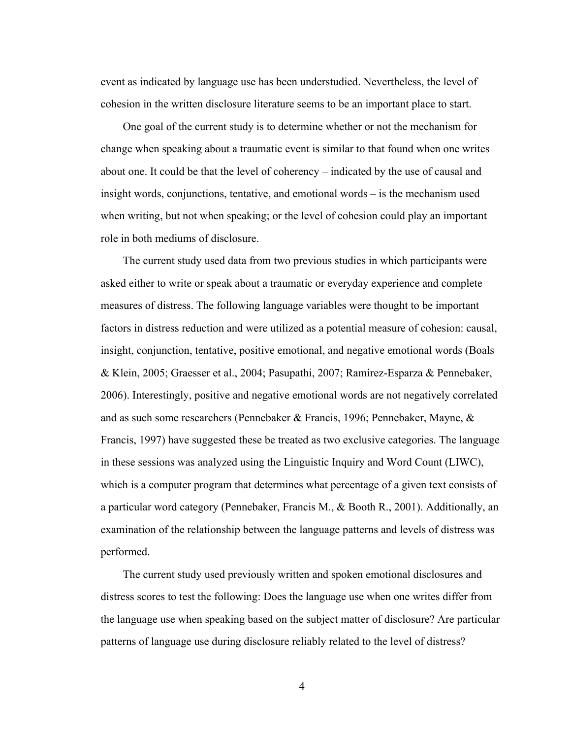event as indicated by language use has been understudied. Nevertheless, the level of cohesion in the written disclosure literature seems to be an important place to start.

One goal of the current study is to determine whether or not the mechanism for change when speaking about a traumatic event is similar to that found when one writes about one. It could be that the level of coherency – indicated by the use of causal and insight words, conjunctions, tentative, and emotional words – is the mechanism used when writing, but not when speaking; or the level of cohesion could play an important role in both mediums of disclosure.

The current study used data from two previous studies in which participants were asked either to write or speak about a traumatic or everyday experience and complete measures of distress. The following language variables were thought to be important factors in distress reduction and were utilized as a potential measure of cohesion: causal, insight, conjunction, tentative, positive emotional, and negative emotional words (Boals & Klein, 2005; Graesser et al., 2004; Pasupathi, 2007; Ramírez-Esparza & Pennebaker, 2006). Interestingly, positive and negative emotional words are not negatively correlated and as such some researchers (Pennebaker & Francis, 1996; Pennebaker, Mayne, & Francis, 1997) have suggested these be treated as two exclusive categories. The language in these sessions was analyzed using the Linguistic Inquiry and Word Count (LIWC), which is a computer program that determines what percentage of a given text consists of a particular word category (Pennebaker, Francis M., & Booth R., 2001). Additionally, an examination of the relationship between the language patterns and levels of distress was performed.

The current study used previously written and spoken emotional disclosures and distress scores to test the following: Does the language use when one writes differ from the language use when speaking based on the subject matter of disclosure? Are particular patterns of language use during disclosure reliably related to the level of distress?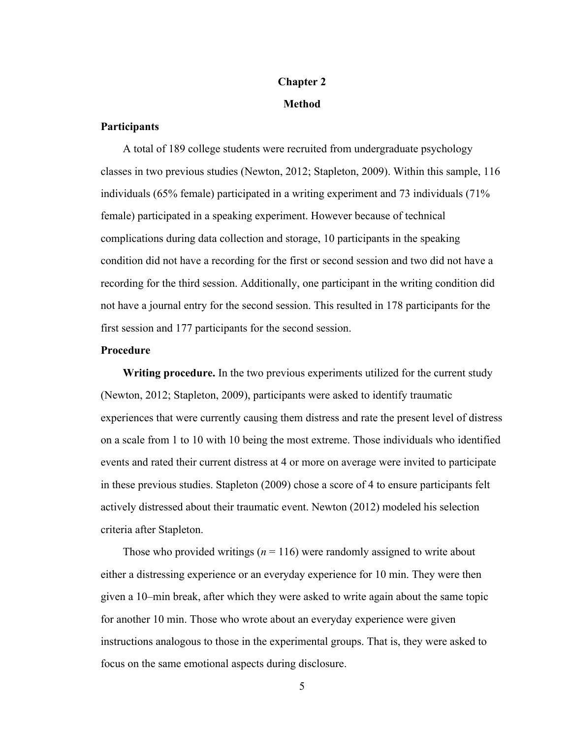# **Chapter 2**

## **Method**

## **Participants**

A total of 189 college students were recruited from undergraduate psychology classes in two previous studies (Newton, 2012; Stapleton, 2009). Within this sample, 116 individuals (65% female) participated in a writing experiment and 73 individuals (71% female) participated in a speaking experiment. However because of technical complications during data collection and storage, 10 participants in the speaking condition did not have a recording for the first or second session and two did not have a recording for the third session. Additionally, one participant in the writing condition did not have a journal entry for the second session. This resulted in 178 participants for the first session and 177 participants for the second session.

## **Procedure**

**Writing procedure.** In the two previous experiments utilized for the current study (Newton, 2012; Stapleton, 2009), participants were asked to identify traumatic experiences that were currently causing them distress and rate the present level of distress on a scale from 1 to 10 with 10 being the most extreme. Those individuals who identified events and rated their current distress at 4 or more on average were invited to participate in these previous studies. Stapleton (2009) chose a score of 4 to ensure participants felt actively distressed about their traumatic event. Newton (2012) modeled his selection criteria after Stapleton.

Those who provided writings (*n* = 116) were randomly assigned to write about either a distressing experience or an everyday experience for 10 min. They were then given a 10–min break, after which they were asked to write again about the same topic for another 10 min. Those who wrote about an everyday experience were given instructions analogous to those in the experimental groups. That is, they were asked to focus on the same emotional aspects during disclosure.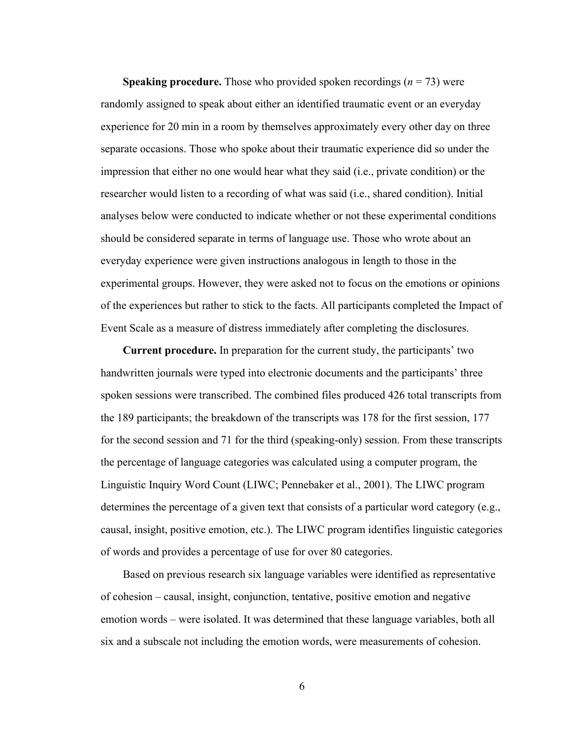**Speaking procedure.** Those who provided spoken recordings (*n* = 73) were randomly assigned to speak about either an identified traumatic event or an everyday experience for 20 min in a room by themselves approximately every other day on three separate occasions. Those who spoke about their traumatic experience did so under the impression that either no one would hear what they said (i.e., private condition) or the researcher would listen to a recording of what was said (i.e., shared condition). Initial analyses below were conducted to indicate whether or not these experimental conditions should be considered separate in terms of language use. Those who wrote about an everyday experience were given instructions analogous in length to those in the experimental groups. However, they were asked not to focus on the emotions or opinions of the experiences but rather to stick to the facts. All participants completed the Impact of Event Scale as a measure of distress immediately after completing the disclosures.

**Current procedure.** In preparation for the current study, the participants' two handwritten journals were typed into electronic documents and the participants' three spoken sessions were transcribed. The combined files produced 426 total transcripts from the 189 participants; the breakdown of the transcripts was 178 for the first session, 177 for the second session and 71 for the third (speaking-only) session. From these transcripts the percentage of language categories was calculated using a computer program, the Linguistic Inquiry Word Count (LIWC; Pennebaker et al., 2001). The LIWC program determines the percentage of a given text that consists of a particular word category (e.g., causal, insight, positive emotion, etc.). The LIWC program identifies linguistic categories of words and provides a percentage of use for over 80 categories.

Based on previous research six language variables were identified as representative of cohesion – causal, insight, conjunction, tentative, positive emotion and negative emotion words – were isolated. It was determined that these language variables, both all six and a subscale not including the emotion words, were measurements of cohesion.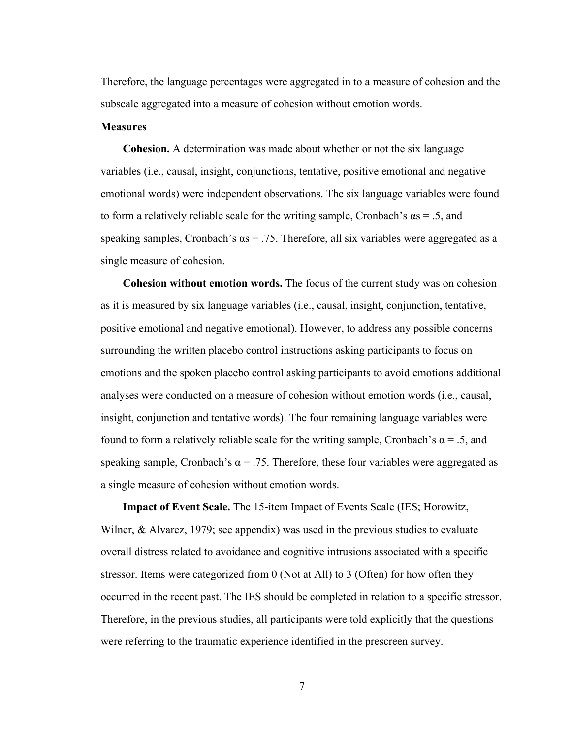Therefore, the language percentages were aggregated in to a measure of cohesion and the subscale aggregated into a measure of cohesion without emotion words.

## **Measures**

**Cohesion.** A determination was made about whether or not the six language variables (i.e., causal, insight, conjunctions, tentative, positive emotional and negative emotional words) were independent observations. The six language variables were found to form a relatively reliable scale for the writing sample, Cronbach's  $\alpha s = .5$ , and speaking samples, Cronbach's  $\alpha s = .75$ . Therefore, all six variables were aggregated as a single measure of cohesion.

**Cohesion without emotion words.** The focus of the current study was on cohesion as it is measured by six language variables (i.e., causal, insight, conjunction, tentative, positive emotional and negative emotional). However, to address any possible concerns surrounding the written placebo control instructions asking participants to focus on emotions and the spoken placebo control asking participants to avoid emotions additional analyses were conducted on a measure of cohesion without emotion words (i.e., causal, insight, conjunction and tentative words). The four remaining language variables were found to form a relatively reliable scale for the writing sample, Cronbach's  $\alpha = .5$ , and speaking sample, Cronbach's  $\alpha$  = .75. Therefore, these four variables were aggregated as a single measure of cohesion without emotion words.

**Impact of Event Scale.** The 15-item Impact of Events Scale (IES; Horowitz, Wilner,  $\&$  Alvarez, 1979; see appendix) was used in the previous studies to evaluate overall distress related to avoidance and cognitive intrusions associated with a specific stressor. Items were categorized from 0 (Not at All) to 3 (Often) for how often they occurred in the recent past. The IES should be completed in relation to a specific stressor. Therefore, in the previous studies, all participants were told explicitly that the questions were referring to the traumatic experience identified in the prescreen survey.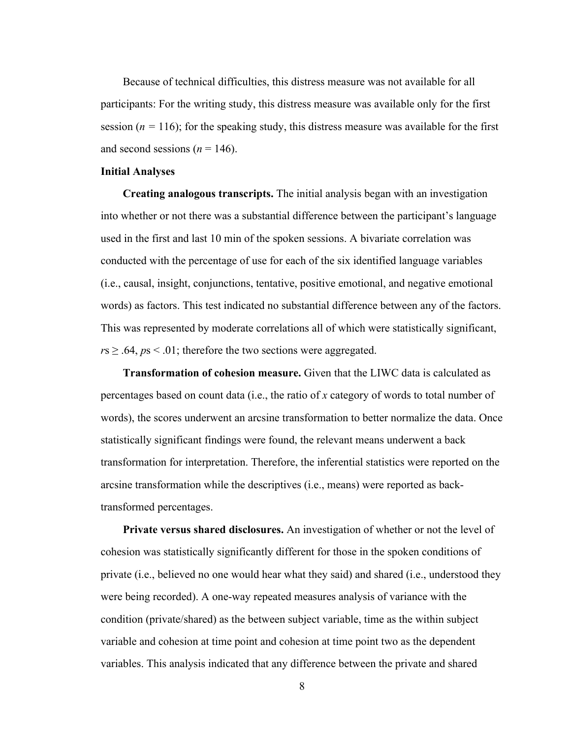Because of technical difficulties, this distress measure was not available for all participants: For the writing study, this distress measure was available only for the first session ( $n = 116$ ); for the speaking study, this distress measure was available for the first and second sessions ( $n = 146$ ).

## **Initial Analyses**

**Creating analogous transcripts.** The initial analysis began with an investigation into whether or not there was a substantial difference between the participant's language used in the first and last 10 min of the spoken sessions. A bivariate correlation was conducted with the percentage of use for each of the six identified language variables (i.e., causal, insight, conjunctions, tentative, positive emotional, and negative emotional words) as factors. This test indicated no substantial difference between any of the factors. This was represented by moderate correlations all of which were statistically significant,  $r s \geq .64$ ,  $p s \leq .01$ ; therefore the two sections were aggregated.

**Transformation of cohesion measure.** Given that the LIWC data is calculated as percentages based on count data (i.e., the ratio of *x* category of words to total number of words), the scores underwent an arcsine transformation to better normalize the data. Once statistically significant findings were found, the relevant means underwent a back transformation for interpretation. Therefore, the inferential statistics were reported on the arcsine transformation while the descriptives (i.e., means) were reported as backtransformed percentages.

**Private versus shared disclosures.** An investigation of whether or not the level of cohesion was statistically significantly different for those in the spoken conditions of private (i.e., believed no one would hear what they said) and shared (i.e., understood they were being recorded). A one-way repeated measures analysis of variance with the condition (private/shared) as the between subject variable, time as the within subject variable and cohesion at time point and cohesion at time point two as the dependent variables. This analysis indicated that any difference between the private and shared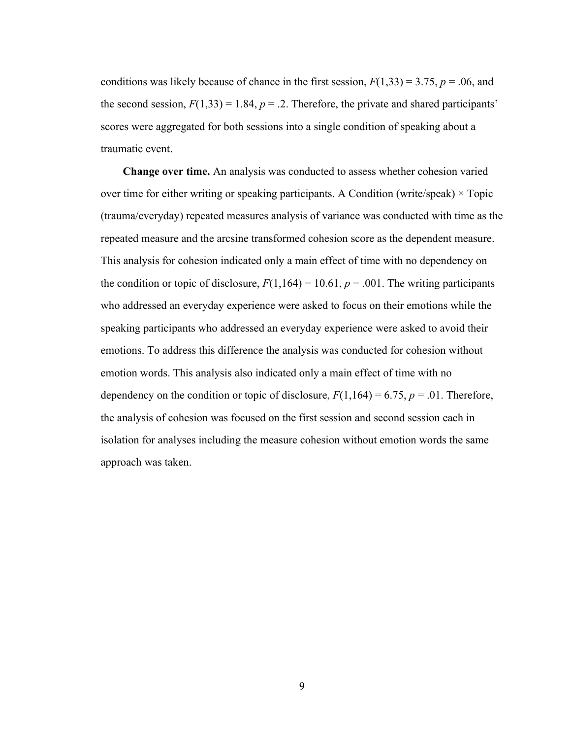conditions was likely because of chance in the first session,  $F(1,33) = 3.75$ ,  $p = .06$ , and the second session,  $F(1,33) = 1.84$ ,  $p = 0.2$ . Therefore, the private and shared participants' scores were aggregated for both sessions into a single condition of speaking about a traumatic event.

**Change over time.** An analysis was conducted to assess whether cohesion varied over time for either writing or speaking participants. A Condition (write/speak)  $\times$  Topic (trauma/everyday) repeated measures analysis of variance was conducted with time as the repeated measure and the arcsine transformed cohesion score as the dependent measure. This analysis for cohesion indicated only a main effect of time with no dependency on the condition or topic of disclosure,  $F(1,164) = 10.61$ ,  $p = .001$ . The writing participants who addressed an everyday experience were asked to focus on their emotions while the speaking participants who addressed an everyday experience were asked to avoid their emotions. To address this difference the analysis was conducted for cohesion without emotion words. This analysis also indicated only a main effect of time with no dependency on the condition or topic of disclosure,  $F(1,164) = 6.75$ ,  $p = .01$ . Therefore, the analysis of cohesion was focused on the first session and second session each in isolation for analyses including the measure cohesion without emotion words the same approach was taken.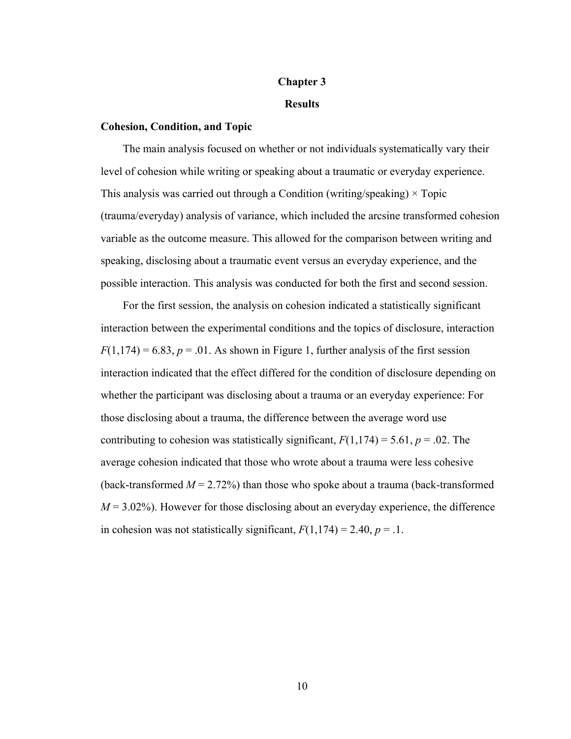# **Chapter 3**

## **Results**

## **Cohesion, Condition, and Topic**

The main analysis focused on whether or not individuals systematically vary their level of cohesion while writing or speaking about a traumatic or everyday experience. This analysis was carried out through a Condition (writing/speaking)  $\times$  Topic (trauma/everyday) analysis of variance, which included the arcsine transformed cohesion variable as the outcome measure. This allowed for the comparison between writing and speaking, disclosing about a traumatic event versus an everyday experience, and the possible interaction. This analysis was conducted for both the first and second session.

For the first session, the analysis on cohesion indicated a statistically significant interaction between the experimental conditions and the topics of disclosure, interaction  $F(1,174) = 6.83$ ,  $p = .01$ . As shown in Figure 1, further analysis of the first session interaction indicated that the effect differed for the condition of disclosure depending on whether the participant was disclosing about a trauma or an everyday experience: For those disclosing about a trauma, the difference between the average word use contributing to cohesion was statistically significant,  $F(1,174) = 5.61$ ,  $p = .02$ . The average cohesion indicated that those who wrote about a trauma were less cohesive (back-transformed  $M = 2.72\%$ ) than those who spoke about a trauma (back-transformed  $M = 3.02\%$ ). However for those disclosing about an everyday experience, the difference in cohesion was not statistically significant,  $F(1,174) = 2.40$ ,  $p = .1$ .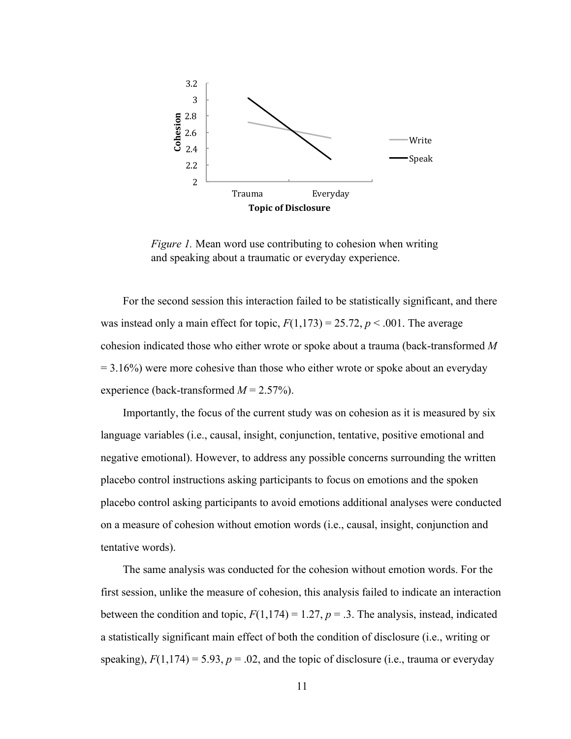

*Figure 1.* Mean word use contributing to cohesion when writing and speaking about a traumatic or everyday experience.

For the second session this interaction failed to be statistically significant, and there was instead only a main effect for topic,  $F(1,173) = 25.72$ ,  $p < .001$ . The average cohesion indicated those who either wrote or spoke about a trauma (back-transformed *M*  $= 3.16\%$ ) were more cohesive than those who either wrote or spoke about an everyday experience (back-transformed *M* = 2.57%).

Importantly, the focus of the current study was on cohesion as it is measured by six language variables (i.e., causal, insight, conjunction, tentative, positive emotional and negative emotional). However, to address any possible concerns surrounding the written placebo control instructions asking participants to focus on emotions and the spoken placebo control asking participants to avoid emotions additional analyses were conducted on a measure of cohesion without emotion words (i.e., causal, insight, conjunction and tentative words).

The same analysis was conducted for the cohesion without emotion words. For the first session, unlike the measure of cohesion, this analysis failed to indicate an interaction between the condition and topic,  $F(1,174) = 1.27$ ,  $p = .3$ . The analysis, instead, indicated a statistically significant main effect of both the condition of disclosure (i.e., writing or speaking),  $F(1,174) = 5.93$ ,  $p = .02$ , and the topic of disclosure (i.e., trauma or everyday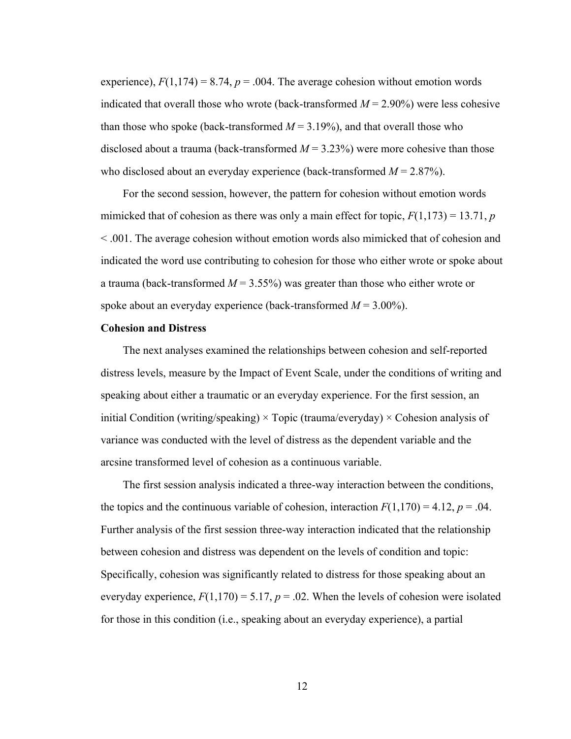experience),  $F(1,174) = 8.74$ ,  $p = .004$ . The average cohesion without emotion words indicated that overall those who wrote (back-transformed  $M = 2.90\%$ ) were less cohesive than those who spoke (back-transformed  $M = 3.19\%$ ), and that overall those who disclosed about a trauma (back-transformed  $M = 3.23\%$ ) were more cohesive than those who disclosed about an everyday experience (back-transformed *M* = 2.87%).

For the second session, however, the pattern for cohesion without emotion words mimicked that of cohesion as there was only a main effect for topic,  $F(1,173) = 13.71$ , *p* < .001. The average cohesion without emotion words also mimicked that of cohesion and indicated the word use contributing to cohesion for those who either wrote or spoke about a trauma (back-transformed  $M = 3.55\%$ ) was greater than those who either wrote or spoke about an everyday experience (back-transformed *M* = 3.00%).

## **Cohesion and Distress**

The next analyses examined the relationships between cohesion and self-reported distress levels, measure by the Impact of Event Scale, under the conditions of writing and speaking about either a traumatic or an everyday experience. For the first session, an initial Condition (writing/speaking)  $\times$  Topic (trauma/everyday)  $\times$  Cohesion analysis of variance was conducted with the level of distress as the dependent variable and the arcsine transformed level of cohesion as a continuous variable.

The first session analysis indicated a three-way interaction between the conditions, the topics and the continuous variable of cohesion, interaction  $F(1,170) = 4.12$ ,  $p = .04$ . Further analysis of the first session three-way interaction indicated that the relationship between cohesion and distress was dependent on the levels of condition and topic: Specifically, cohesion was significantly related to distress for those speaking about an everyday experience,  $F(1,170) = 5.17$ ,  $p = .02$ . When the levels of cohesion were isolated for those in this condition (i.e., speaking about an everyday experience), a partial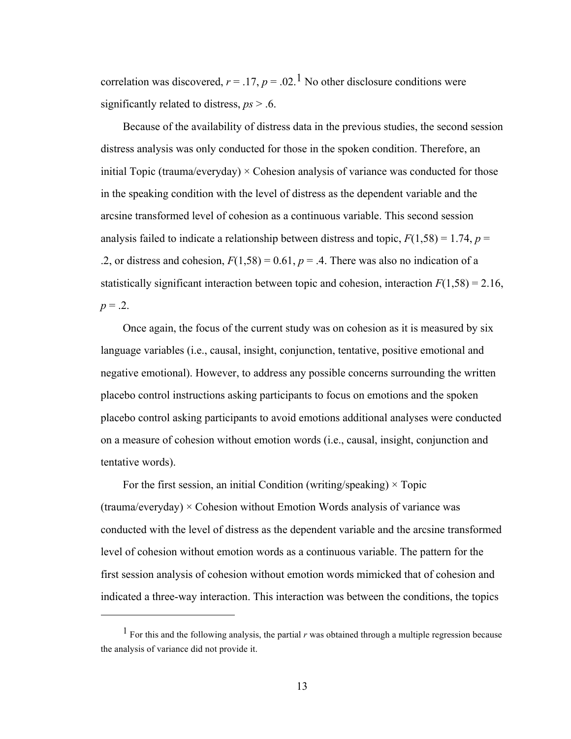correlation was discovered,  $r = .17$ ,  $p = .02$ .<sup>1</sup> No other disclosure conditions were significantly related to distress, *ps* > .6.

Because of the availability of distress data in the previous studies, the second session distress analysis was only conducted for those in the spoken condition. Therefore, an initial Topic (trauma/everyday)  $\times$  Cohesion analysis of variance was conducted for those in the speaking condition with the level of distress as the dependent variable and the arcsine transformed level of cohesion as a continuous variable. This second session analysis failed to indicate a relationship between distress and topic,  $F(1,58) = 1.74$ ,  $p =$ .2, or distress and cohesion,  $F(1,58) = 0.61$ ,  $p = .4$ . There was also no indication of a statistically significant interaction between topic and cohesion, interaction  $F(1,58) = 2.16$ ,  $p = 0.2$ .

Once again, the focus of the current study was on cohesion as it is measured by six language variables (i.e., causal, insight, conjunction, tentative, positive emotional and negative emotional). However, to address any possible concerns surrounding the written placebo control instructions asking participants to focus on emotions and the spoken placebo control asking participants to avoid emotions additional analyses were conducted on a measure of cohesion without emotion words (i.e., causal, insight, conjunction and tentative words).

For the first session, an initial Condition (writing/speaking)  $\times$  Topic  $(t$ rauma/everyday)  $\times$  Cohesion without Emotion Words analysis of variance was conducted with the level of distress as the dependent variable and the arcsine transformed level of cohesion without emotion words as a continuous variable. The pattern for the first session analysis of cohesion without emotion words mimicked that of cohesion and indicated a three-way interaction. This interaction was between the conditions, the topics

 $\overline{a}$ 

<sup>1</sup> For this and the following analysis, the partial *r* was obtained through a multiple regression because the analysis of variance did not provide it.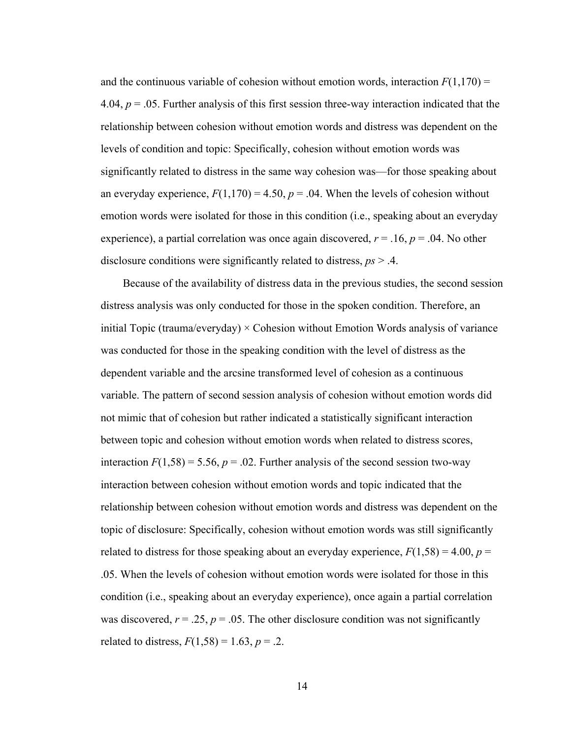and the continuous variable of cohesion without emotion words, interaction  $F(1,170)$  = 4.04,  $p = 0.05$ . Further analysis of this first session three-way interaction indicated that the relationship between cohesion without emotion words and distress was dependent on the levels of condition and topic: Specifically, cohesion without emotion words was significantly related to distress in the same way cohesion was—for those speaking about an everyday experience,  $F(1,170) = 4.50$ ,  $p = .04$ . When the levels of cohesion without emotion words were isolated for those in this condition (i.e., speaking about an everyday experience), a partial correlation was once again discovered,  $r = .16$ ,  $p = .04$ . No other disclosure conditions were significantly related to distress, *ps* > .4.

Because of the availability of distress data in the previous studies, the second session distress analysis was only conducted for those in the spoken condition. Therefore, an initial Topic (trauma/everyday)  $\times$  Cohesion without Emotion Words analysis of variance was conducted for those in the speaking condition with the level of distress as the dependent variable and the arcsine transformed level of cohesion as a continuous variable. The pattern of second session analysis of cohesion without emotion words did not mimic that of cohesion but rather indicated a statistically significant interaction between topic and cohesion without emotion words when related to distress scores, interaction  $F(1,58) = 5.56$ ,  $p = .02$ . Further analysis of the second session two-way interaction between cohesion without emotion words and topic indicated that the relationship between cohesion without emotion words and distress was dependent on the topic of disclosure: Specifically, cohesion without emotion words was still significantly related to distress for those speaking about an everyday experience,  $F(1,58) = 4.00$ ,  $p =$ .05. When the levels of cohesion without emotion words were isolated for those in this condition (i.e., speaking about an everyday experience), once again a partial correlation was discovered,  $r = 0.25$ ,  $p = 0.05$ . The other disclosure condition was not significantly related to distress,  $F(1,58) = 1.63$ ,  $p = .2$ .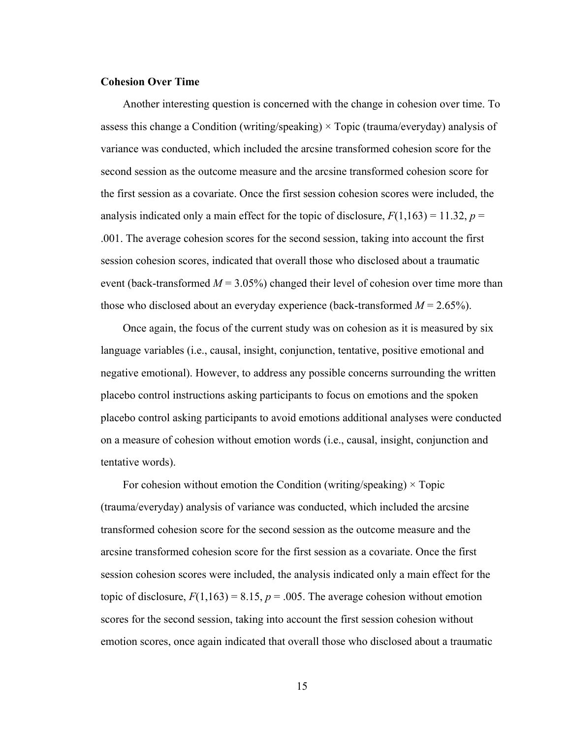## **Cohesion Over Time**

Another interesting question is concerned with the change in cohesion over time. To assess this change a Condition (writing/speaking)  $\times$  Topic (trauma/everyday) analysis of variance was conducted, which included the arcsine transformed cohesion score for the second session as the outcome measure and the arcsine transformed cohesion score for the first session as a covariate. Once the first session cohesion scores were included, the analysis indicated only a main effect for the topic of disclosure,  $F(1,163) = 11.32$ ,  $p =$ .001. The average cohesion scores for the second session, taking into account the first session cohesion scores, indicated that overall those who disclosed about a traumatic event (back-transformed  $M = 3.05\%$ ) changed their level of cohesion over time more than those who disclosed about an everyday experience (back-transformed  $M = 2.65\%$ ).

Once again, the focus of the current study was on cohesion as it is measured by six language variables (i.e., causal, insight, conjunction, tentative, positive emotional and negative emotional). However, to address any possible concerns surrounding the written placebo control instructions asking participants to focus on emotions and the spoken placebo control asking participants to avoid emotions additional analyses were conducted on a measure of cohesion without emotion words (i.e., causal, insight, conjunction and tentative words).

For cohesion without emotion the Condition (writing/speaking)  $\times$  Topic (trauma/everyday) analysis of variance was conducted, which included the arcsine transformed cohesion score for the second session as the outcome measure and the arcsine transformed cohesion score for the first session as a covariate. Once the first session cohesion scores were included, the analysis indicated only a main effect for the topic of disclosure,  $F(1,163) = 8.15$ ,  $p = .005$ . The average cohesion without emotion scores for the second session, taking into account the first session cohesion without emotion scores, once again indicated that overall those who disclosed about a traumatic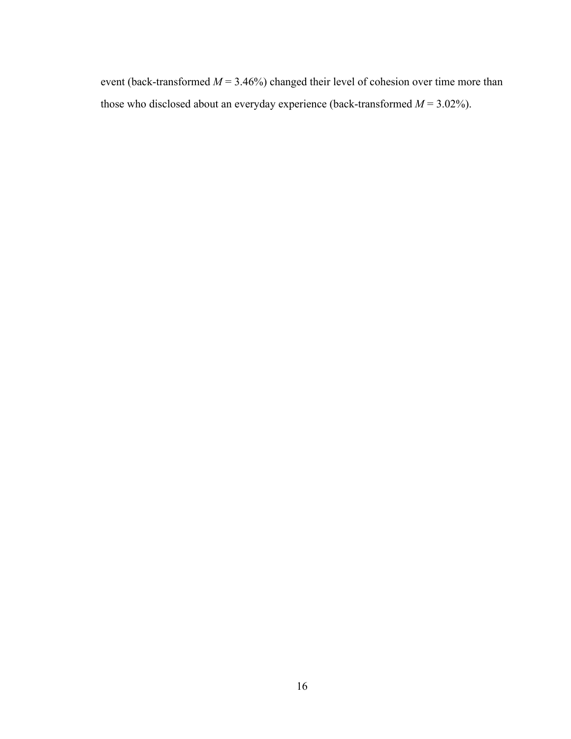event (back-transformed  $M = 3.46\%$ ) changed their level of cohesion over time more than those who disclosed about an everyday experience (back-transformed  $M = 3.02\%$ ).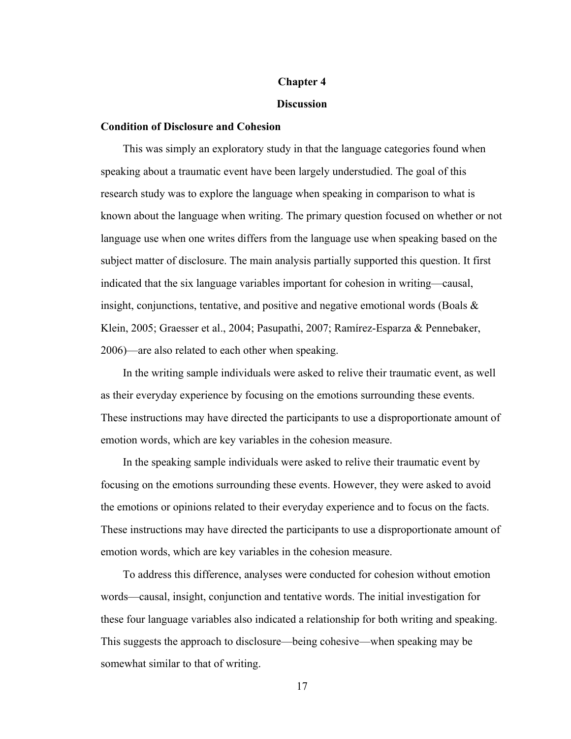#### **Chapter 4**

#### **Discussion**

#### **Condition of Disclosure and Cohesion**

This was simply an exploratory study in that the language categories found when speaking about a traumatic event have been largely understudied. The goal of this research study was to explore the language when speaking in comparison to what is known about the language when writing. The primary question focused on whether or not language use when one writes differs from the language use when speaking based on the subject matter of disclosure. The main analysis partially supported this question. It first indicated that the six language variables important for cohesion in writing—causal, insight, conjunctions, tentative, and positive and negative emotional words (Boals & Klein, 2005; Graesser et al., 2004; Pasupathi, 2007; Ramírez-Esparza & Pennebaker, 2006)—are also related to each other when speaking.

In the writing sample individuals were asked to relive their traumatic event, as well as their everyday experience by focusing on the emotions surrounding these events. These instructions may have directed the participants to use a disproportionate amount of emotion words, which are key variables in the cohesion measure.

In the speaking sample individuals were asked to relive their traumatic event by focusing on the emotions surrounding these events. However, they were asked to avoid the emotions or opinions related to their everyday experience and to focus on the facts. These instructions may have directed the participants to use a disproportionate amount of emotion words, which are key variables in the cohesion measure.

To address this difference, analyses were conducted for cohesion without emotion words—causal, insight, conjunction and tentative words. The initial investigation for these four language variables also indicated a relationship for both writing and speaking. This suggests the approach to disclosure—being cohesive—when speaking may be somewhat similar to that of writing.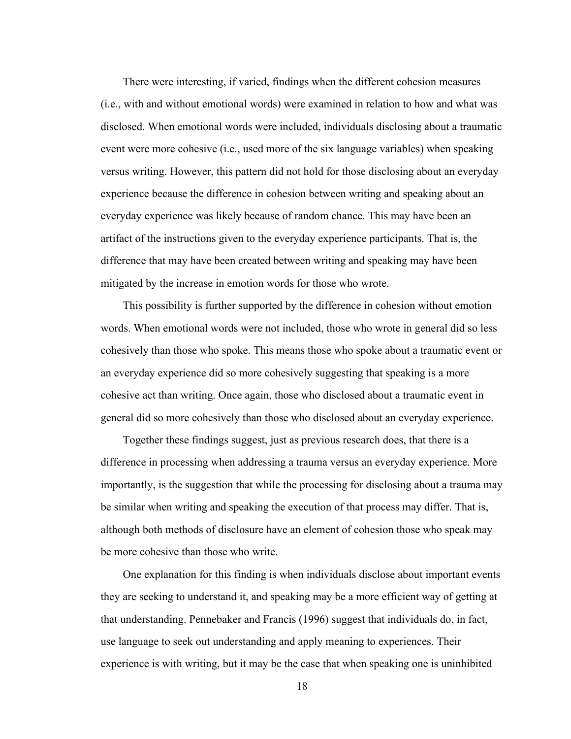There were interesting, if varied, findings when the different cohesion measures (i.e., with and without emotional words) were examined in relation to how and what was disclosed. When emotional words were included, individuals disclosing about a traumatic event were more cohesive (i.e., used more of the six language variables) when speaking versus writing. However, this pattern did not hold for those disclosing about an everyday experience because the difference in cohesion between writing and speaking about an everyday experience was likely because of random chance. This may have been an artifact of the instructions given to the everyday experience participants. That is, the difference that may have been created between writing and speaking may have been mitigated by the increase in emotion words for those who wrote.

This possibility is further supported by the difference in cohesion without emotion words. When emotional words were not included, those who wrote in general did so less cohesively than those who spoke. This means those who spoke about a traumatic event or an everyday experience did so more cohesively suggesting that speaking is a more cohesive act than writing. Once again, those who disclosed about a traumatic event in general did so more cohesively than those who disclosed about an everyday experience.

Together these findings suggest, just as previous research does, that there is a difference in processing when addressing a trauma versus an everyday experience. More importantly, is the suggestion that while the processing for disclosing about a trauma may be similar when writing and speaking the execution of that process may differ. That is, although both methods of disclosure have an element of cohesion those who speak may be more cohesive than those who write.

One explanation for this finding is when individuals disclose about important events they are seeking to understand it, and speaking may be a more efficient way of getting at that understanding. Pennebaker and Francis (1996) suggest that individuals do, in fact, use language to seek out understanding and apply meaning to experiences. Their experience is with writing, but it may be the case that when speaking one is uninhibited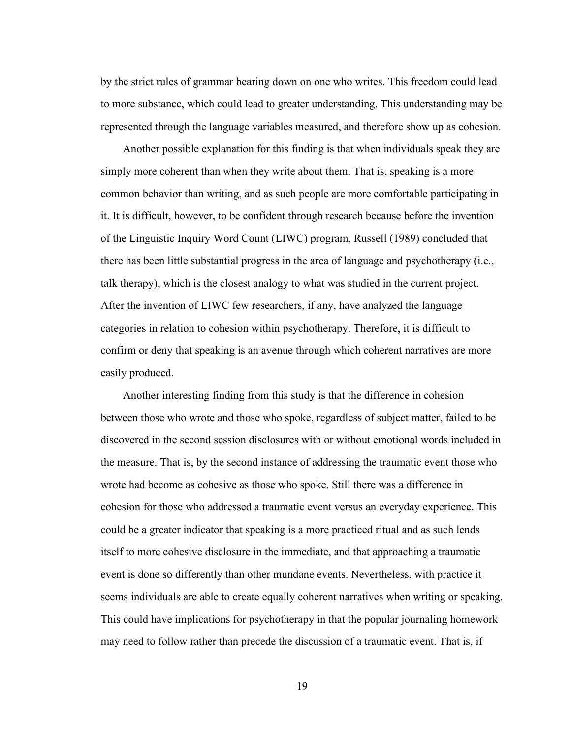by the strict rules of grammar bearing down on one who writes. This freedom could lead to more substance, which could lead to greater understanding. This understanding may be represented through the language variables measured, and therefore show up as cohesion.

Another possible explanation for this finding is that when individuals speak they are simply more coherent than when they write about them. That is, speaking is a more common behavior than writing, and as such people are more comfortable participating in it. It is difficult, however, to be confident through research because before the invention of the Linguistic Inquiry Word Count (LIWC) program, Russell (1989) concluded that there has been little substantial progress in the area of language and psychotherapy (i.e., talk therapy), which is the closest analogy to what was studied in the current project. After the invention of LIWC few researchers, if any, have analyzed the language categories in relation to cohesion within psychotherapy. Therefore, it is difficult to confirm or deny that speaking is an avenue through which coherent narratives are more easily produced.

Another interesting finding from this study is that the difference in cohesion between those who wrote and those who spoke, regardless of subject matter, failed to be discovered in the second session disclosures with or without emotional words included in the measure. That is, by the second instance of addressing the traumatic event those who wrote had become as cohesive as those who spoke. Still there was a difference in cohesion for those who addressed a traumatic event versus an everyday experience. This could be a greater indicator that speaking is a more practiced ritual and as such lends itself to more cohesive disclosure in the immediate, and that approaching a traumatic event is done so differently than other mundane events. Nevertheless, with practice it seems individuals are able to create equally coherent narratives when writing or speaking. This could have implications for psychotherapy in that the popular journaling homework may need to follow rather than precede the discussion of a traumatic event. That is, if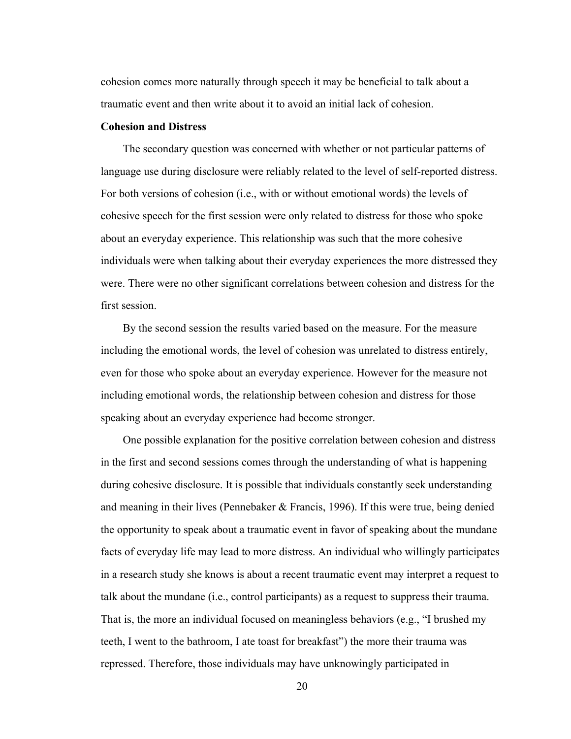cohesion comes more naturally through speech it may be beneficial to talk about a traumatic event and then write about it to avoid an initial lack of cohesion.

## **Cohesion and Distress**

The secondary question was concerned with whether or not particular patterns of language use during disclosure were reliably related to the level of self-reported distress. For both versions of cohesion (i.e., with or without emotional words) the levels of cohesive speech for the first session were only related to distress for those who spoke about an everyday experience. This relationship was such that the more cohesive individuals were when talking about their everyday experiences the more distressed they were. There were no other significant correlations between cohesion and distress for the first session.

By the second session the results varied based on the measure. For the measure including the emotional words, the level of cohesion was unrelated to distress entirely, even for those who spoke about an everyday experience. However for the measure not including emotional words, the relationship between cohesion and distress for those speaking about an everyday experience had become stronger.

One possible explanation for the positive correlation between cohesion and distress in the first and second sessions comes through the understanding of what is happening during cohesive disclosure. It is possible that individuals constantly seek understanding and meaning in their lives (Pennebaker & Francis, 1996). If this were true, being denied the opportunity to speak about a traumatic event in favor of speaking about the mundane facts of everyday life may lead to more distress. An individual who willingly participates in a research study she knows is about a recent traumatic event may interpret a request to talk about the mundane (i.e., control participants) as a request to suppress their trauma. That is, the more an individual focused on meaningless behaviors (e.g., "I brushed my teeth, I went to the bathroom, I ate toast for breakfast") the more their trauma was repressed. Therefore, those individuals may have unknowingly participated in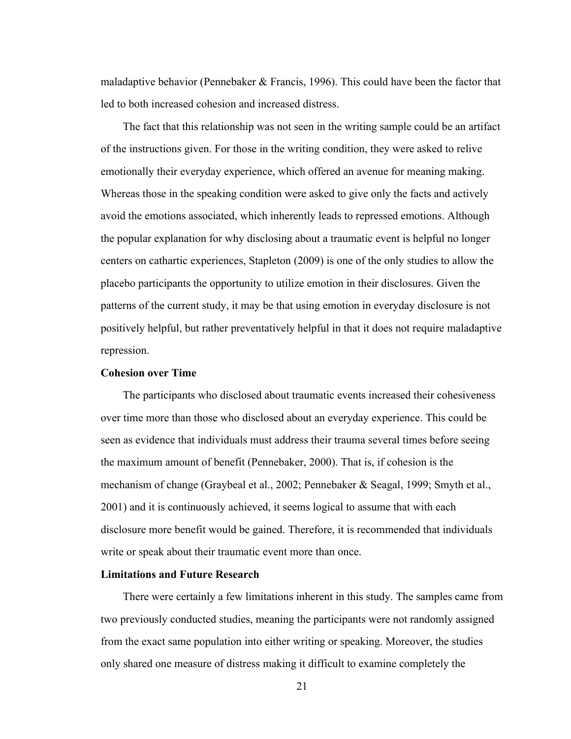maladaptive behavior (Pennebaker  $&$  Francis, 1996). This could have been the factor that led to both increased cohesion and increased distress.

The fact that this relationship was not seen in the writing sample could be an artifact of the instructions given. For those in the writing condition, they were asked to relive emotionally their everyday experience, which offered an avenue for meaning making. Whereas those in the speaking condition were asked to give only the facts and actively avoid the emotions associated, which inherently leads to repressed emotions. Although the popular explanation for why disclosing about a traumatic event is helpful no longer centers on cathartic experiences, Stapleton (2009) is one of the only studies to allow the placebo participants the opportunity to utilize emotion in their disclosures. Given the patterns of the current study, it may be that using emotion in everyday disclosure is not positively helpful, but rather preventatively helpful in that it does not require maladaptive repression.

## **Cohesion over Time**

The participants who disclosed about traumatic events increased their cohesiveness over time more than those who disclosed about an everyday experience. This could be seen as evidence that individuals must address their trauma several times before seeing the maximum amount of benefit (Pennebaker, 2000). That is, if cohesion is the mechanism of change (Graybeal et al., 2002; Pennebaker & Seagal, 1999; Smyth et al., 2001) and it is continuously achieved, it seems logical to assume that with each disclosure more benefit would be gained. Therefore, it is recommended that individuals write or speak about their traumatic event more than once.

## **Limitations and Future Research**

There were certainly a few limitations inherent in this study. The samples came from two previously conducted studies, meaning the participants were not randomly assigned from the exact same population into either writing or speaking. Moreover, the studies only shared one measure of distress making it difficult to examine completely the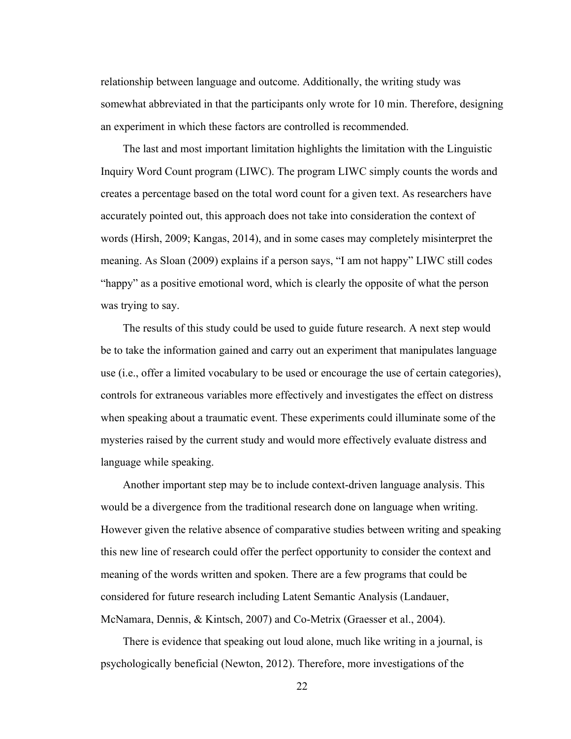relationship between language and outcome. Additionally, the writing study was somewhat abbreviated in that the participants only wrote for 10 min. Therefore, designing an experiment in which these factors are controlled is recommended.

The last and most important limitation highlights the limitation with the Linguistic Inquiry Word Count program (LIWC). The program LIWC simply counts the words and creates a percentage based on the total word count for a given text. As researchers have accurately pointed out, this approach does not take into consideration the context of words (Hirsh, 2009; Kangas, 2014), and in some cases may completely misinterpret the meaning. As Sloan (2009) explains if a person says, "I am not happy" LIWC still codes "happy" as a positive emotional word, which is clearly the opposite of what the person was trying to say.

The results of this study could be used to guide future research. A next step would be to take the information gained and carry out an experiment that manipulates language use (i.e., offer a limited vocabulary to be used or encourage the use of certain categories), controls for extraneous variables more effectively and investigates the effect on distress when speaking about a traumatic event. These experiments could illuminate some of the mysteries raised by the current study and would more effectively evaluate distress and language while speaking.

Another important step may be to include context-driven language analysis. This would be a divergence from the traditional research done on language when writing. However given the relative absence of comparative studies between writing and speaking this new line of research could offer the perfect opportunity to consider the context and meaning of the words written and spoken. There are a few programs that could be considered for future research including Latent Semantic Analysis (Landauer, McNamara, Dennis, & Kintsch, 2007) and Co-Metrix (Graesser et al., 2004).

There is evidence that speaking out loud alone, much like writing in a journal, is psychologically beneficial (Newton, 2012). Therefore, more investigations of the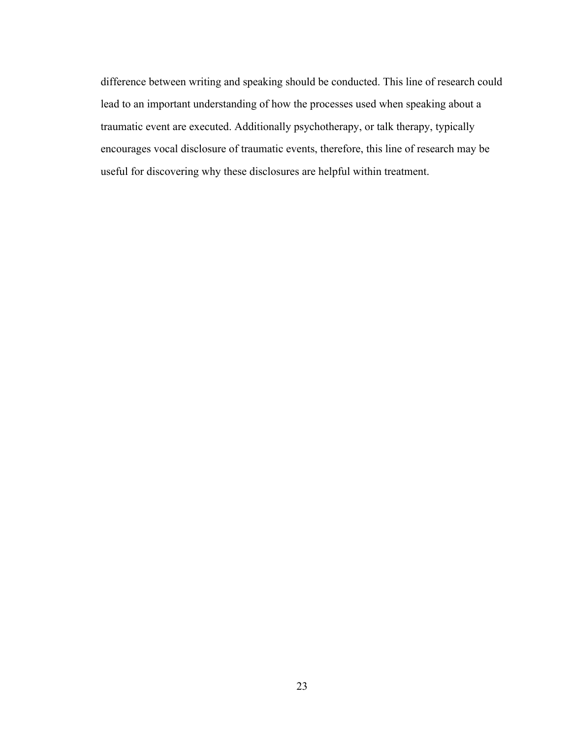difference between writing and speaking should be conducted. This line of research could lead to an important understanding of how the processes used when speaking about a traumatic event are executed. Additionally psychotherapy, or talk therapy, typically encourages vocal disclosure of traumatic events, therefore, this line of research may be useful for discovering why these disclosures are helpful within treatment.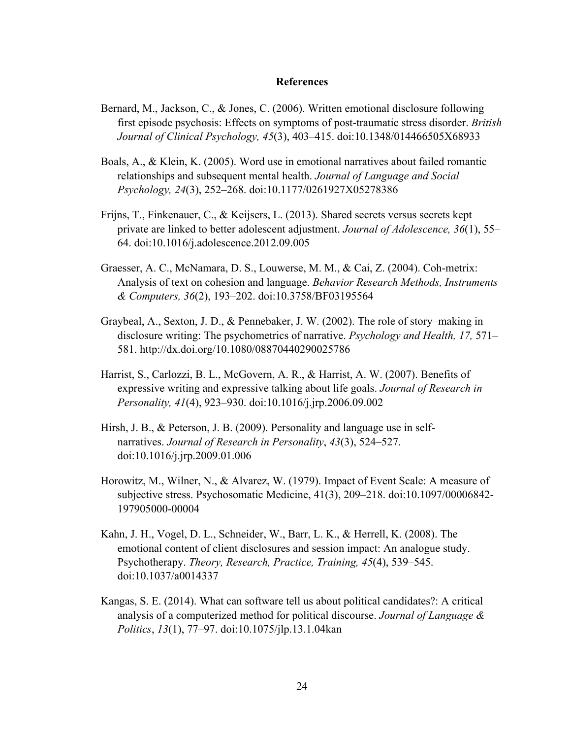## **References**

- Bernard, M., Jackson, C., & Jones, C. (2006). Written emotional disclosure following first episode psychosis: Effects on symptoms of post-traumatic stress disorder. *British Journal of Clinical Psychology, 45*(3), 403–415. doi:10.1348/014466505X68933
- Boals, A., & Klein, K. (2005). Word use in emotional narratives about failed romantic relationships and subsequent mental health. *Journal of Language and Social Psychology, 24*(3), 252–268. doi:10.1177/0261927X05278386
- Frijns, T., Finkenauer, C., & Keijsers, L. (2013). Shared secrets versus secrets kept private are linked to better adolescent adjustment. *Journal of Adolescence, 36*(1), 55– 64. doi:10.1016/j.adolescence.2012.09.005
- Graesser, A. C., McNamara, D. S., Louwerse, M. M., & Cai, Z. (2004). Coh-metrix: Analysis of text on cohesion and language. *Behavior Research Methods, Instruments & Computers, 36*(2), 193–202. doi:10.3758/BF03195564
- Graybeal, A., Sexton, J. D., & Pennebaker, J. W. (2002). The role of story–making in disclosure writing: The psychometrics of narrative. *Psychology and Health, 17,* 571– 581. http://dx.doi.org/10.1080/08870440290025786
- Harrist, S., Carlozzi, B. L., McGovern, A. R., & Harrist, A. W. (2007). Benefits of expressive writing and expressive talking about life goals. *Journal of Research in Personality, 41*(4), 923–930. doi:10.1016/j.jrp.2006.09.002
- Hirsh, J. B., & Peterson, J. B. (2009). Personality and language use in selfnarratives. *Journal of Research in Personality*, *43*(3), 524–527. doi:10.1016/j.jrp.2009.01.006
- Horowitz, M., Wilner, N., & Alvarez, W. (1979). Impact of Event Scale: A measure of subjective stress. Psychosomatic Medicine, 41(3), 209–218. doi:10.1097/00006842- 197905000-00004
- Kahn, J. H., Vogel, D. L., Schneider, W., Barr, L. K., & Herrell, K. (2008). The emotional content of client disclosures and session impact: An analogue study. Psychotherapy. *Theory, Research, Practice, Training, 45*(4), 539–545. doi:10.1037/a0014337
- Kangas, S. E. (2014). What can software tell us about political candidates?: A critical analysis of a computerized method for political discourse. *Journal of Language & Politics*, *13*(1), 77–97. doi:10.1075/jlp.13.1.04kan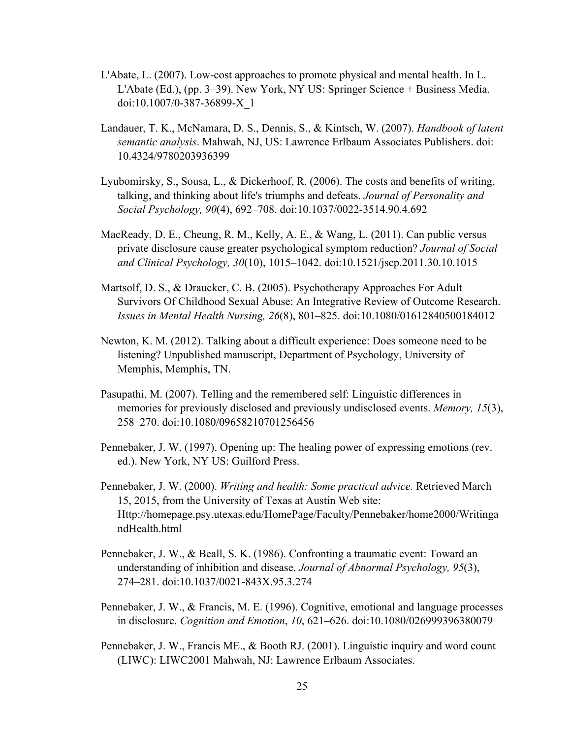- L'Abate, L. (2007). Low-cost approaches to promote physical and mental health. In L. L'Abate (Ed.), (pp. 3–39). New York, NY US: Springer Science + Business Media. doi:10.1007/0-387-36899-X\_1
- Landauer, T. K., McNamara, D. S., Dennis, S., & Kintsch, W. (2007). *Handbook of latent semantic analysis*. Mahwah, NJ, US: Lawrence Erlbaum Associates Publishers. doi: 10.4324/9780203936399
- Lyubomirsky, S., Sousa, L., & Dickerhoof, R. (2006). The costs and benefits of writing, talking, and thinking about life's triumphs and defeats. *Journal of Personality and Social Psychology, 90*(4), 692–708. doi:10.1037/0022-3514.90.4.692
- MacReady, D. E., Cheung, R. M., Kelly, A. E., & Wang, L. (2011). Can public versus private disclosure cause greater psychological symptom reduction? *Journal of Social and Clinical Psychology, 30*(10), 1015–1042. doi:10.1521/jscp.2011.30.10.1015
- Martsolf, D. S., & Draucker, C. B. (2005). Psychotherapy Approaches For Adult Survivors Of Childhood Sexual Abuse: An Integrative Review of Outcome Research. *Issues in Mental Health Nursing, 26*(8), 801–825. doi:10.1080/01612840500184012
- Newton, K. M. (2012). Talking about a difficult experience: Does someone need to be listening? Unpublished manuscript, Department of Psychology, University of Memphis, Memphis, TN.
- Pasupathi, M. (2007). Telling and the remembered self: Linguistic differences in memories for previously disclosed and previously undisclosed events. *Memory, 15*(3), 258–270. doi:10.1080/09658210701256456
- Pennebaker, J. W. (1997). Opening up: The healing power of expressing emotions (rev. ed.). New York, NY US: Guilford Press.
- Pennebaker, J. W. (2000). *Writing and health: Some practical advice.* Retrieved March 15, 2015, from the University of Texas at Austin Web site: Http://homepage.psy.utexas.edu/HomePage/Faculty/Pennebaker/home2000/Writinga ndHealth.html
- Pennebaker, J. W., & Beall, S. K. (1986). Confronting a traumatic event: Toward an understanding of inhibition and disease. *Journal of Abnormal Psychology, 95*(3), 274–281. doi:10.1037/0021-843X.95.3.274
- Pennebaker, J. W., & Francis, M. E. (1996). Cognitive, emotional and language processes in disclosure. *Cognition and Emotion*, *10*, 621–626. doi:10.1080/026999396380079
- Pennebaker, J. W., Francis ME., & Booth RJ. (2001). Linguistic inquiry and word count (LIWC): LIWC2001 Mahwah, NJ: Lawrence Erlbaum Associates.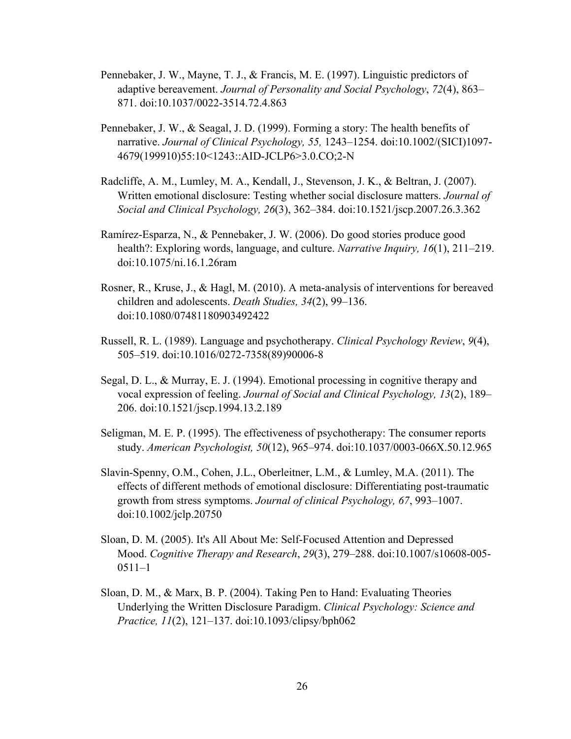- Pennebaker, J. W., Mayne, T. J., & Francis, M. E. (1997). Linguistic predictors of adaptive bereavement. *Journal of Personality and Social Psychology*, *72*(4), 863– 871. doi:10.1037/0022-3514.72.4.863
- Pennebaker, J. W., & Seagal, J. D. (1999). Forming a story: The health benefits of narrative. *Journal of Clinical Psychology, 55,* 1243–1254. doi:10.1002/(SICI)1097- 4679(199910)55:10<1243::AID-JCLP6>3.0.CO;2-N
- Radcliffe, A. M., Lumley, M. A., Kendall, J., Stevenson, J. K., & Beltran, J. (2007). Written emotional disclosure: Testing whether social disclosure matters. *Journal of Social and Clinical Psychology, 26*(3), 362–384. doi:10.1521/jscp.2007.26.3.362
- Ramírez-Esparza, N., & Pennebaker, J. W. (2006). Do good stories produce good health?: Exploring words, language, and culture. *Narrative Inquiry, 16*(1), 211–219. doi:10.1075/ni.16.1.26ram
- Rosner, R., Kruse, J., & Hagl, M. (2010). A meta-analysis of interventions for bereaved children and adolescents. *Death Studies, 34*(2), 99–136. doi:10.1080/07481180903492422
- Russell, R. L. (1989). Language and psychotherapy. *Clinical Psychology Review*, *9*(4), 505–519. doi:10.1016/0272-7358(89)90006-8
- Segal, D. L., & Murray, E. J. (1994). Emotional processing in cognitive therapy and vocal expression of feeling. *Journal of Social and Clinical Psychology, 13*(2), 189– 206. doi:10.1521/jscp.1994.13.2.189
- Seligman, M. E. P. (1995). The effectiveness of psychotherapy: The consumer reports study. *American Psychologist, 50*(12), 965–974. doi:10.1037/0003-066X.50.12.965
- Slavin-Spenny, O.M., Cohen, J.L., Oberleitner, L.M., & Lumley, M.A. (2011). The effects of different methods of emotional disclosure: Differentiating post-traumatic growth from stress symptoms. *Journal of clinical Psychology, 67*, 993–1007. doi:10.1002/jclp.20750
- Sloan, D. M. (2005). It's All About Me: Self-Focused Attention and Depressed Mood. *Cognitive Therapy and Research*, *29*(3), 279–288. doi:10.1007/s10608-005- 0511–1
- Sloan, D. M., & Marx, B. P. (2004). Taking Pen to Hand: Evaluating Theories Underlying the Written Disclosure Paradigm. *Clinical Psychology: Science and Practice, 11*(2), 121–137. doi:10.1093/clipsy/bph062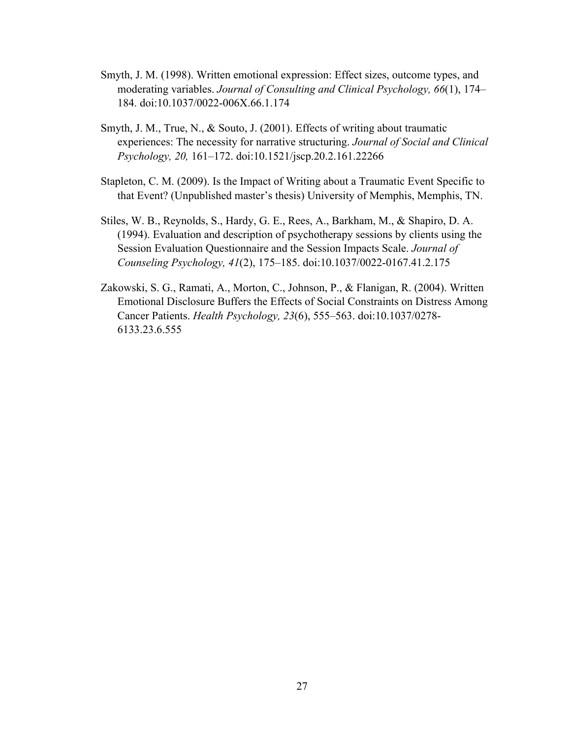- Smyth, J. M. (1998). Written emotional expression: Effect sizes, outcome types, and moderating variables. *Journal of Consulting and Clinical Psychology, 66*(1), 174– 184. doi:10.1037/0022-006X.66.1.174
- Smyth, J. M., True, N., & Souto, J. (2001). Effects of writing about traumatic experiences: The necessity for narrative structuring. *Journal of Social and Clinical Psychology, 20,* 161–172. doi:10.1521/jscp.20.2.161.22266
- Stapleton, C. M. (2009). Is the Impact of Writing about a Traumatic Event Specific to that Event? (Unpublished master's thesis) University of Memphis, Memphis, TN.
- Stiles, W. B., Reynolds, S., Hardy, G. E., Rees, A., Barkham, M., & Shapiro, D. A. (1994). Evaluation and description of psychotherapy sessions by clients using the Session Evaluation Questionnaire and the Session Impacts Scale. *Journal of Counseling Psychology, 41*(2), 175–185. doi:10.1037/0022-0167.41.2.175
- Zakowski, S. G., Ramati, A., Morton, C., Johnson, P., & Flanigan, R. (2004). Written Emotional Disclosure Buffers the Effects of Social Constraints on Distress Among Cancer Patients. *Health Psychology, 23*(6), 555–563. doi:10.1037/0278- 6133.23.6.555